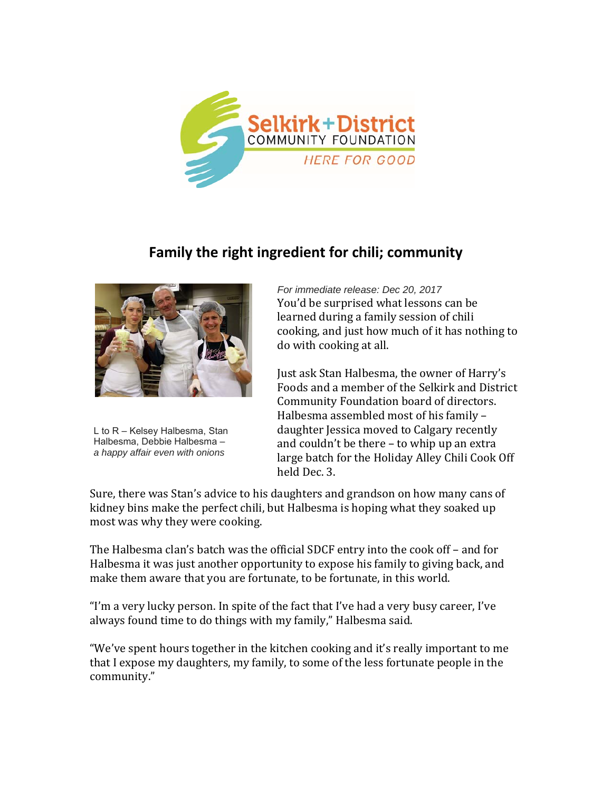

## **Family the right ingredient for chili; community**



L to R – Kelsey Halbesma, Stan Halbesma, Debbie Halbesma – *a happy affair even with onions* 

*For immediate release: Dec 20, 2017*  You'd be surprised what lessons can be learned during a family session of chili cooking, and just how much of it has nothing to do with cooking at all.

Just ask Stan Halbesma, the owner of Harry's Foods and a member of the Selkirk and District Community Foundation board of directors. Halbesma assembled most of his family daughter Jessica moved to Calgary recently and couldn't be there  $-$  to whip up an extra large batch for the Holiday Alley Chili Cook Off held Dec. 3.

Sure, there was Stan's advice to his daughters and grandson on how many cans of kidney bins make the perfect chili, but Halbesma is hoping what they soaked up most was why they were cooking.

The Halbesma clan's batch was the official SDCF entry into the cook off  $-$  and for Halbesma it was just another opportunity to expose his family to giving back, and make them aware that you are fortunate, to be fortunate, in this world.

"I'm a very lucky person. In spite of the fact that I've had a very busy career, I've always found time to do things with my family," Halbesma said.

"We've spent hours together in the kitchen cooking and it's really important to me that I expose my daughters, my family, to some of the less fortunate people in the community."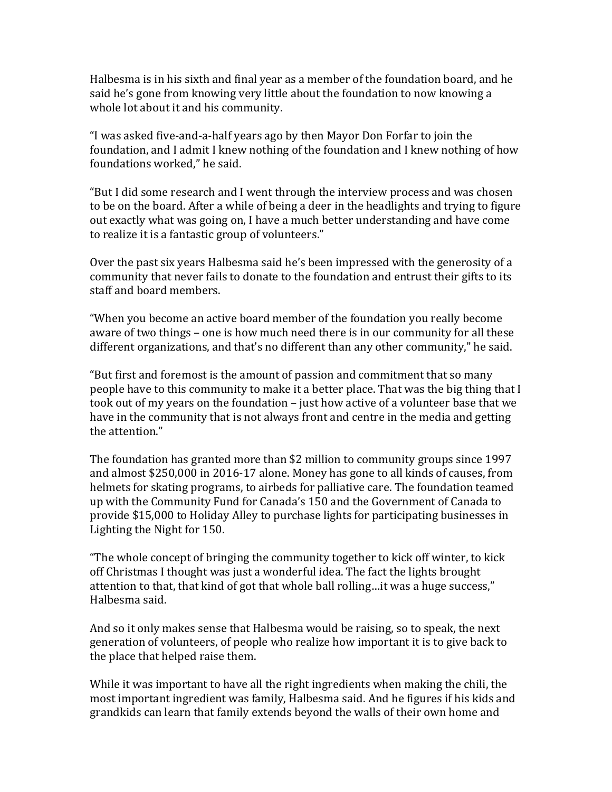Halbesma is in his sixth and final year as a member of the foundation board, and he said he's gone from knowing very little about the foundation to now knowing a whole lot about it and his community.

"I was asked five-and-a-half years ago by then Mayor Don Forfar to join the foundation, and I admit I knew nothing of the foundation and I knew nothing of how foundations worked," he said.

"But I did some research and I went through the interview process and was chosen to be on the board. After a while of being a deer in the headlights and trying to figure out exactly what was going on, I have a much better understanding and have come to realize it is a fantastic group of volunteers."

Over the past six years Halbesma said he's been impressed with the generosity of a community that never fails to donate to the foundation and entrust their gifts to its staff and board members.

"When you become an active board member of the foundation you really become aware of two things – one is how much need there is in our community for all these different organizations, and that's no different than any other community," he said.

"But first and foremost is the amount of passion and commitment that so many people have to this community to make it a better place. That was the big thing that I took out of my years on the foundation – just how active of a volunteer base that we have in the community that is not always front and centre in the media and getting the attention."

The foundation has granted more than \$2 million to community groups since 1997 and almost \$250,000 in 2016-17 alone. Money has gone to all kinds of causes, from helmets for skating programs, to airbeds for palliative care. The foundation teamed up with the Community Fund for Canada's 150 and the Government of Canada to provide \$15,000 to Holiday Alley to purchase lights for participating businesses in Lighting the Night for 150.

"The whole concept of bringing the community together to kick off winter, to kick off Christmas I thought was just a wonderful idea. The fact the lights brought attention to that, that kind of got that whole ball rolling...it was a huge success," Halbesma said.

And so it only makes sense that Halbesma would be raising, so to speak, the next generation of volunteers, of people who realize how important it is to give back to the place that helped raise them.

While it was important to have all the right ingredients when making the chili, the most important ingredient was family, Halbesma said. And he figures if his kids and grandkids can learn that family extends beyond the walls of their own home and